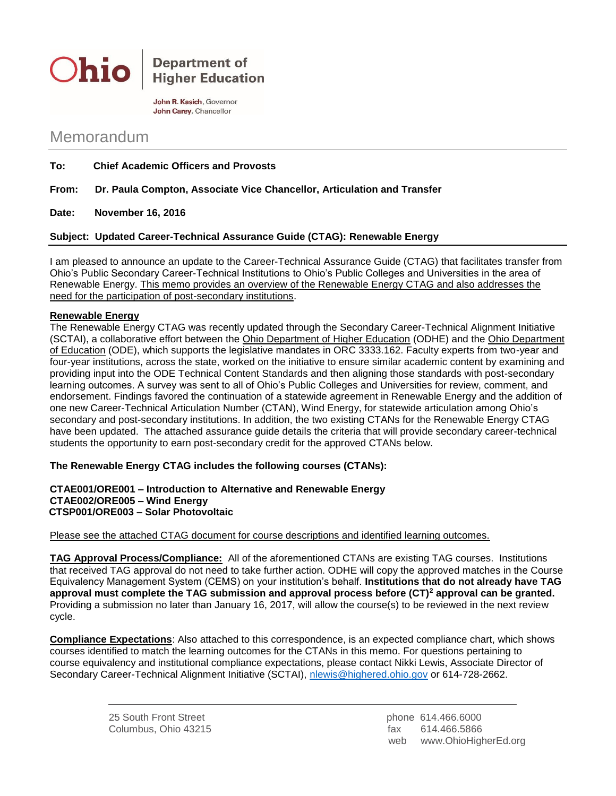

**Department of Higher Education** 

John R. Kasich, Governor John Carey, Chancellor

## Memorandum

- **To: Chief Academic Officers and Provosts**
- **From: Dr. Paula Compton, Associate Vice Chancellor, Articulation and Transfer**

**Date: November 16, 2016**

## **Subject: Updated Career-Technical Assurance Guide (CTAG): Renewable Energy**

I am pleased to announce an update to the Career-Technical Assurance Guide (CTAG) that facilitates transfer from Ohio's Public Secondary Career-Technical Institutions to Ohio's Public Colleges and Universities in the area of Renewable Energy. This memo provides an overview of the Renewable Energy CTAG and also addresses the need for the participation of post-secondary institutions.

## **Renewable Energy**

The Renewable Energy CTAG was recently updated through the Secondary Career-Technical Alignment Initiative (SCTAI), a collaborative effort between the Ohio Department of Higher Education (ODHE) and the Ohio Department of Education (ODE), which supports the legislative mandates in ORC 3333.162. Faculty experts from two-year and four-year institutions, across the state, worked on the initiative to ensure similar academic content by examining and providing input into the ODE Technical Content Standards and then aligning those standards with post-secondary learning outcomes. A survey was sent to all of Ohio's Public Colleges and Universities for review, comment, and endorsement. Findings favored the continuation of a statewide agreement in Renewable Energy and the addition of one new Career-Technical Articulation Number (CTAN), Wind Energy, for statewide articulation among Ohio's secondary and post-secondary institutions. In addition, the two existing CTANs for the Renewable Energy CTAG have been updated. The attached assurance guide details the criteria that will provide secondary career-technical students the opportunity to earn post-secondary credit for the approved CTANs below.

## **The Renewable Energy CTAG includes the following courses (CTANs):**

**CTAE001/ORE001 – Introduction to Alternative and Renewable Energy CTAE002/ORE005 – Wind Energy CTSP001/ORE003 – Solar Photovoltaic**

Please see the attached CTAG document for course descriptions and identified learning outcomes.

**TAG Approval Process/Compliance:** All of the aforementioned CTANs are existing TAG courses. Institutions that received TAG approval do not need to take further action. ODHE will copy the approved matches in the Course Equivalency Management System (CEMS) on your institution's behalf. **Institutions that do not already have TAG approval must complete the TAG submission and approval process before (CT)<sup>2</sup> approval can be granted.** Providing a submission no later than January 16, 2017, will allow the course(s) to be reviewed in the next review cycle.

**Compliance Expectations**: Also attached to this correspondence, is an expected compliance chart, which shows courses identified to match the learning outcomes for the CTANs in this memo. For questions pertaining to course equivalency and institutional compliance expectations, please contact Nikki Lewis, Associate Director of Secondary Career-Technical Alignment Initiative (SCTAI), [nlewis@highered.ohio.gov](mailto:nlewis@highered.ohio.gov) or 614-728-2662.

> 25 South Front Street phone 614.466.6000 Columbus, Ohio 43215 fax 614.466.5866